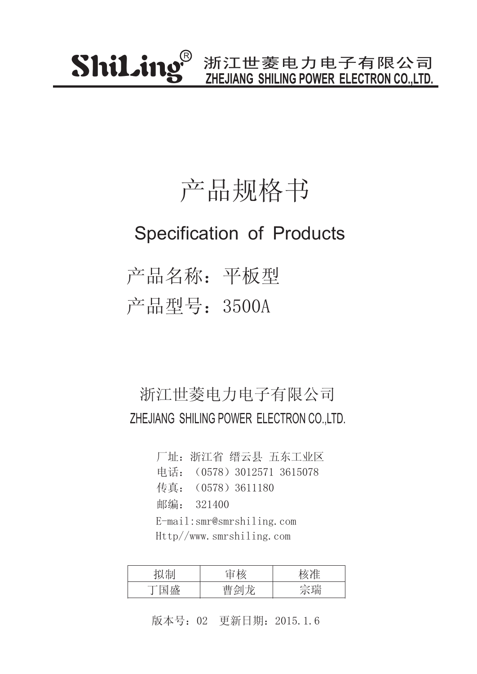### 产品规格书

### Specification of Products

产品名称:平板型 产品型号:3500A

#### 浙江世菱电力电子有限公司 ZHEJIANG SHILING POWER ELECTRON CO.,LTD.

厂址:浙江省 缙云县 五东工业区 传真:(0578)3611180 邮编: 321400 电话:(0578)3012571 3615078 E-mail:smr@smrshiling.com Http//www.smrshiling.com

| <b>H</b> .      | $+$ $+$ |    |
|-----------------|---------|----|
| ьÛг<br>工口<br>ᆚᄔ | $\pm$   | 今理 |

版本号:02 更新日期:2015.1.6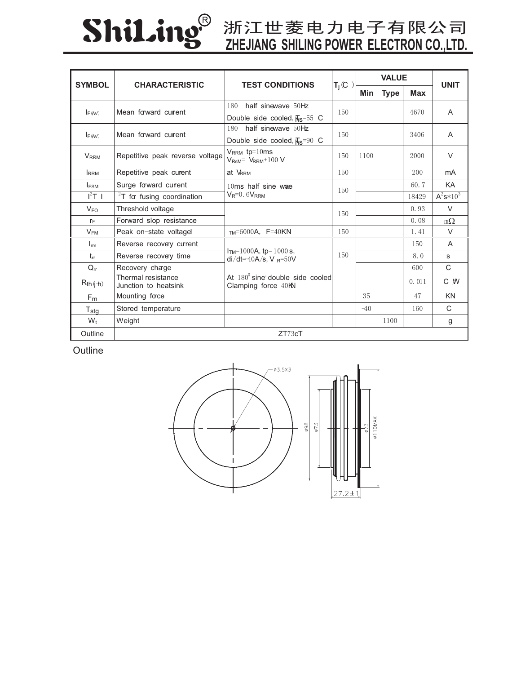# ShiLing®

## **ZHEJIANG SHILING POWER ELECTRON CO.,LTD.**

| <b>SYMBOL</b>                       | <b>CHARACTERISTIC</b>                      | <b>TEST CONDITIONS</b>                                          | $T_i(C)$ | <b>VALUE</b> |             |            | <b>UNIT</b>    |
|-------------------------------------|--------------------------------------------|-----------------------------------------------------------------|----------|--------------|-------------|------------|----------------|
|                                     |                                            |                                                                 |          | Min          | <b>Type</b> | <b>Max</b> |                |
| Mean forward current<br>$I_{F(AV)}$ |                                            | half sinewave 50Hz<br>180                                       | 150      |              |             | 4670       | $\overline{A}$ |
|                                     |                                            | Double side cooled, $\overline{H}_S$ =55 C                      |          |              |             |            |                |
| $I_F (AV)$                          | Mean forward current                       | half sinewave 50Hz<br>180                                       | 150      |              |             | 3406       | A              |
|                                     |                                            | Double side cooled, $\overline{H}_S$ =90 C                      |          |              |             |            |                |
| <b>V</b> <sub>RRM</sub>             | Repetitive peak reverse voltage            | $V_{RRM}$ tp=10ms<br>$V_{\text{RsM}} = V_{\text{RRM}} + 100 V$  | 150      | 1100         |             | 2000       | $\vee$         |
| <b>IRRM</b>                         | Repetitive peak current                    | at VRRM                                                         | 150      |              |             | 200        | mA             |
| I <sub>FSM</sub>                    | Surge forward current                      | $10ms$ half sine wae<br>$V_R=0.6V_{RRM}$                        | 150      |              |             | 60.7       | KA             |
| $I^2T$ 1                            | $2T$ for fusing coordination               |                                                                 |          |              |             | 18429      | $A^2s*10^3$    |
| $V_{FO}$                            | Threshold voltage                          |                                                                 | 150      |              |             | 0.93       | $\vee$         |
| $r_F$                               | Forward slop resistance                    |                                                                 |          |              |             | 0.08       | $m\Omega$      |
| $V_{FM}$                            | Peak on-state voltagel                     | $TM=6000A$ , $F=40KN$                                           | 150      |              |             | 1.41       | $\vee$         |
| $I_{rm}$                            | Reverse recovery current                   | $ITM=1000A$ , tp= 1000 s,<br>$di/dt = 40A/s$ , V $_{R} = 50V$   | 150      |              |             | 150        | A              |
| $t_{rr}$                            | Reverse recovery time                      |                                                                 |          |              |             | 8.0        | S              |
| $Q_{rr}$                            | Recovery charge                            |                                                                 |          |              |             | 600        | $\mathsf{C}$   |
| $R_{th}(\phi+h)$                    | Thermal resistance<br>Junction to heatsink | At $180^{\circ}$ sine double side cooled<br>Clamping force 40KN |          |              |             | 0.011      | C W            |
| F <sub>m</sub>                      | Mounting face                              |                                                                 |          | 35           |             | 47         | <b>KN</b>      |
| $T_{\text{stg}}$                    | Stored temperature                         |                                                                 |          | $-40$        |             | 160        | $\mathsf{C}$   |
| $W_t$                               | Weight                                     |                                                                 |          |              | 1100        |            | g              |
| Outline                             |                                            | ZT73cT                                                          |          |              |             |            |                |

**Outline**